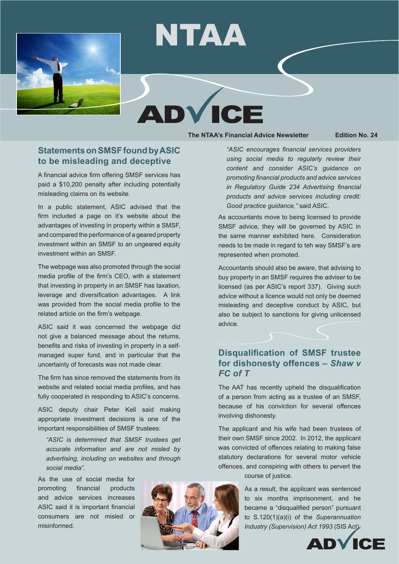

# NTAA

# ICI

**The NTAA's Financial Advice Newsletter Edition No. 24**

#### **Statements on SMSF found by ASIC to be misleading and deceptive**

A financial advice firm offering SMSF services has paid a \$10,200 penalty after including potentially misleading claims on its website.

In a public statement, ASIC advised that the firm included a page on it's website about the advantages of investing in property within a SMSF, and compared the performance of a geared property investment within an SMSF to an ungeared equity investment within an SMSF.

The webpage was also promoted through the social media profile of the firm's CEO, with a statement that investing in property in an SMSF has taxation, leverage and diversification advantages. A link was provided from the social media profile to the related article on the firm's webpage.

ASIC said it was concerned the webpage did not give a balanced message about the returns, benefits and risks of investing in property in a selfmanaged super fund, and in particular that the uncertainty of forecasts was not made clear.

The firm has since removed the statements from its website and related social media profiles, and has fully cooperated in responding to ASIC's concerns.

ASIC deputy chair Peter Kell said making appropriate investment decisions is one of the important responsibilities of SMSF trustees:

*"ASIC is determined that SMSF trustees get accurate information and are not misled by advertising, including on websites and through social media".*

As the use of social media for promoting financial products and advice services increases ASIC said it is important financial consumers are not misled or misinformed.



*"ASIC encourages financial services providers using social media to regularly review their content and consider ASIC's guidance on promoting financial products and advice services in Regulatory Guide 234 Advertising financial products and advice services including credit: Good practice guidance,"* said ASIC.

As accountants move to being licensed to provide SMSF advice, they will be governed by ASIC in the same manner exhibited here. Consideration needs to be made in regard to teh way SMSF's are represented when promoted.

Accountants should also be aware, that advising to buy property in an SMSF requires the adviser to be licensed (as per ASIC's report 337). Giving such advice without a licence would not only be deemed misleading and deceptive conduct by ASIC, but also be subject to sanctions for giving unlicensed advice.

# **Disqualification of SMSF trustee for dishonesty offences –** *Shaw v FC of T*

The AAT has recently upheld the disqualification of a person from acting as a trustee of an SMSF, because of his conviction for several offences involving dishonesty.

The applicant and his wife had been trustees of their own SMSF since 2002. In 2012, the applicant was convicted of offences relating to making false statutory declarations for several motor vehicle offences, and conspiring with others to pervert the course of justice.

> As a result, the applicant was sentenced to six months imprisonment, and he became a "disqualified person" pursuant to S.120(1)(a)(i) of the *Superannuation Industry (Supervision) Act 1993* (SIS Act).

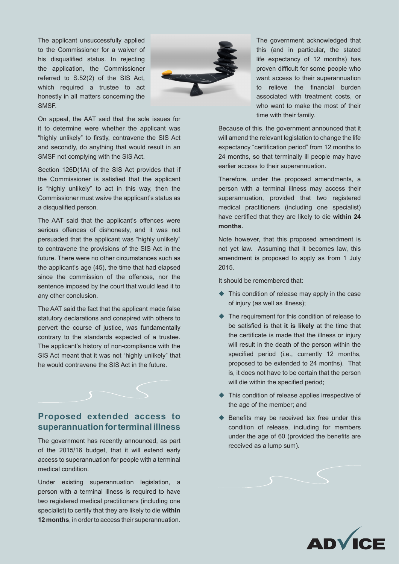The applicant unsuccessfully applied to the Commissioner for a waiver of his disqualified status. In rejecting the application, the Commissioner referred to S.52(2) of the SIS Act, which required a trustee to act honestly in all matters concerning the SMSF.



On appeal, the AAT said that the sole issues for it to determine were whether the applicant was "highly unlikely" to firstly, contravene the SIS Act and secondly, do anything that would result in an SMSF not complying with the SIS Act.

Section 126D(1A) of the SIS Act provides that if the Commissioner is satisfied that the applicant is "highly unlikely" to act in this way, then the Commissioner must waive the applicant's status as a disqualified person.

The AAT said that the applicant's offences were serious offences of dishonesty, and it was not persuaded that the applicant was "highly unlikely" to contravene the provisions of the SIS Act in the future. There were no other circumstances such as the applicant's age (45), the time that had elapsed since the commission of the offences, nor the sentence imposed by the court that would lead it to any other conclusion.

The AAT said the fact that the applicant made false statutory declarations and conspired with others to pervert the course of justice, was fundamentally contrary to the standards expected of a trustee. The applicant's history of non-compliance with the SIS Act meant that it was not "highly unlikely" that he would contravene the SIS Act in the future.



## **Proposed extended access to superannuation for terminal illness**

The government has recently announced, as part of the 2015/16 budget, that it will extend early access to superannuation for people with a terminal medical condition.

Under existing superannuation legislation, a person with a terminal illness is required to have two registered medical practitioners (including one specialist) to certify that they are likely to die **within 12 months**, in order to access their superannuation.

The government acknowledged that this (and in particular, the stated life expectancy of 12 months) has proven difficult for some people who want access to their superannuation to relieve the financial burden associated with treatment costs, or who want to make the most of their time with their family.

Because of this, the government announced that it will amend the relevant legislation to change the life expectancy "certification period" from 12 months to 24 months, so that terminally ill people may have earlier access to their superannuation.

Therefore, under the proposed amendments, a person with a terminal illness may access their superannuation, provided that two registered medical practitioners (including one specialist) have certified that they are likely to die **within 24 months.** 

Note however, that this proposed amendment is not yet law. Assuming that it becomes law, this amendment is proposed to apply as from 1 July 2015.

It should be remembered that:

- $\blacklozenge$  This condition of release may apply in the case of injury (as well as illness);
- $\blacklozenge$  The requirement for this condition of release to be satisfied is that **it is likely** at the time that the certificate is made that the illness or injury will result in the death of the person within the specified period (i.e., currently 12 months, proposed to be extended to 24 months). That is, it does not have to be certain that the person will die within the specified period;
- $\triangle$  This condition of release applies irrespective of the age of the member; and
- $\triangle$  Benefits may be received tax free under this condition of release, including for members under the age of 60 (provided the benefits are received as a lump sum).